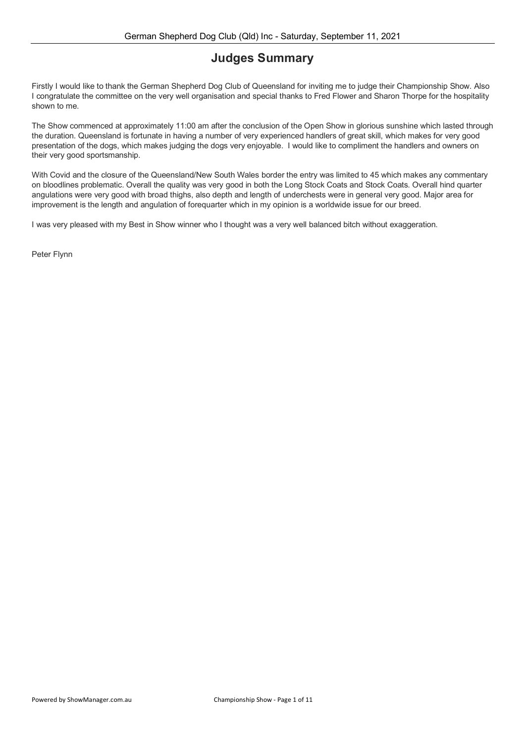### **Judges Summary**

Firstly I would like to thank the German Shepherd Dog Club of Queensland for inviting me to judge their Championship Show. Also I congratulate the committee on the very well organisation and special thanks to Fred Flower and Sharon Thorpe for the hospitality shown to me.

The Show commenced at approximately 11:00 am after the conclusion of the Open Show in glorious sunshine which lasted through the duration. Queensland is fortunate in having a number of very experienced handlers of great skill, which makes for very good presentation of the dogs, which makes judging the dogs very enjoyable. I would like to compliment the handlers and owners on their very good sportsmanship.

With Covid and the closure of the Queensland/New South Wales border the entry was limited to 45 which makes any commentary on bloodlines problematic. Overall the quality was very good in both the Long Stock Coats and Stock Coats. Overall hind quarter angulations were very good with broad thighs, also depth and length of underchests were in general very good. Major area for improvement is the length and angulation of forequarter which in my opinion is a worldwide issue for our breed.

I was very pleased with my Best in Show winner who I thought was a very well balanced bitch without exaggeration.

Peter Flynn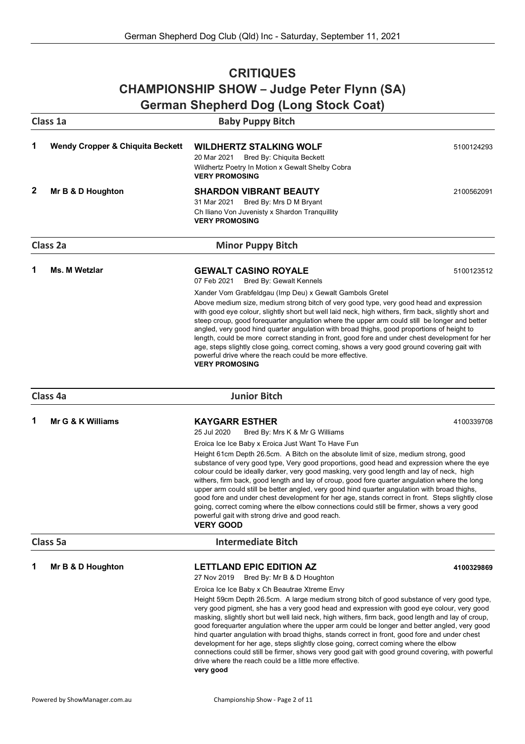### **CRITIQUES CHAMPIONSHIP SHOW – Judge Peter Flynn (SA) German Shepherd Dog (Long Stock Coat)**

|   | Class 1a                                    | $\frac{1}{2}$ one prior a Dog (Long otook ocal)<br><b>Baby Puppy Bitch</b>                                                                                                                                                                                                                                                                                                                                                                                                                                                                                                                                                                                                                                                                                                                                          |            |
|---|---------------------------------------------|---------------------------------------------------------------------------------------------------------------------------------------------------------------------------------------------------------------------------------------------------------------------------------------------------------------------------------------------------------------------------------------------------------------------------------------------------------------------------------------------------------------------------------------------------------------------------------------------------------------------------------------------------------------------------------------------------------------------------------------------------------------------------------------------------------------------|------------|
| 1 | <b>Wendy Cropper &amp; Chiquita Beckett</b> | <b>WILDHERTZ STALKING WOLF</b><br>20 Mar 2021<br>Bred By: Chiquita Beckett<br>Wildhertz Poetry In Motion x Gewalt Shelby Cobra                                                                                                                                                                                                                                                                                                                                                                                                                                                                                                                                                                                                                                                                                      | 5100124293 |
|   |                                             | <b>VERY PROMOSING</b>                                                                                                                                                                                                                                                                                                                                                                                                                                                                                                                                                                                                                                                                                                                                                                                               |            |
| 2 | Mr B & D Houghton                           | <b>SHARDON VIBRANT BEAUTY</b>                                                                                                                                                                                                                                                                                                                                                                                                                                                                                                                                                                                                                                                                                                                                                                                       | 2100562091 |
|   |                                             | 31 Mar 2021<br>Bred By: Mrs D M Bryant<br>Ch Iliano Von Juvenisty x Shardon Tranquillity                                                                                                                                                                                                                                                                                                                                                                                                                                                                                                                                                                                                                                                                                                                            |            |
|   |                                             | <b>VERY PROMOSING</b>                                                                                                                                                                                                                                                                                                                                                                                                                                                                                                                                                                                                                                                                                                                                                                                               |            |
|   | Class 2a                                    | <b>Minor Puppy Bitch</b>                                                                                                                                                                                                                                                                                                                                                                                                                                                                                                                                                                                                                                                                                                                                                                                            |            |
| 1 | <b>Ms. M Wetzlar</b>                        | <b>GEWALT CASINO ROYALE</b><br>07 Feb 2021<br><b>Bred By: Gewalt Kennels</b>                                                                                                                                                                                                                                                                                                                                                                                                                                                                                                                                                                                                                                                                                                                                        | 5100123512 |
|   |                                             | Xander Vom Grabfeldgau (Imp Deu) x Gewalt Gambols Gretel                                                                                                                                                                                                                                                                                                                                                                                                                                                                                                                                                                                                                                                                                                                                                            |            |
|   |                                             | Above medium size, medium strong bitch of very good type, very good head and expression<br>with good eye colour, slightly short but well laid neck, high withers, firm back, slightly short and<br>steep croup, good forequarter angulation where the upper arm could still be longer and better<br>angled, very good hind quarter angulation with broad thighs, good proportions of height to<br>length, could be more correct standing in front, good fore and under chest development for her<br>age, steps slightly close going, correct coming, shows a very good ground covering gait with<br>powerful drive where the reach could be more effective.<br><b>VERY PROMOSING</b>                                                                                                                                |            |
|   | Class 4a                                    | <b>Junior Bitch</b>                                                                                                                                                                                                                                                                                                                                                                                                                                                                                                                                                                                                                                                                                                                                                                                                 |            |
| 1 | Mr G & K Williams                           | <b>KAYGARR ESTHER</b><br>25 Jul 2020<br>Bred By: Mrs K & Mr G Williams                                                                                                                                                                                                                                                                                                                                                                                                                                                                                                                                                                                                                                                                                                                                              | 4100339708 |
|   |                                             | Eroica Ice Ice Baby x Eroica Just Want To Have Fun<br>Height 61cm Depth 26.5cm. A Bitch on the absolute limit of size, medium strong, good<br>substance of very good type, Very good proportions, good head and expression where the eye<br>colour could be ideally darker, very good masking, very good length and lay of neck, high<br>withers, firm back, good length and lay of croup, good fore quarter angulation where the long<br>upper arm could still be better angled, very good hind quarter angulation with broad thighs,<br>good fore and under chest development for her age, stands correct in front. Steps slightly close<br>going, correct coming where the elbow connections could still be firmer, shows a very good<br>powerful gait with strong drive and good reach.<br><b>VERY GOOD</b>     |            |
|   | Class 5a                                    | <b>Intermediate Bitch</b>                                                                                                                                                                                                                                                                                                                                                                                                                                                                                                                                                                                                                                                                                                                                                                                           |            |
|   | Mr B & D Houghton                           | <b>LETTLAND EPIC EDITION AZ</b><br>27 Nov 2019<br>Bred By: Mr B & D Houghton                                                                                                                                                                                                                                                                                                                                                                                                                                                                                                                                                                                                                                                                                                                                        | 4100329869 |
|   |                                             | Eroica Ice Ice Baby x Ch Beautrae Xtreme Envy<br>Height 59cm Depth 26.5cm. A large medium strong bitch of good substance of very good type,<br>very good pigment, she has a very good head and expression with good eye colour, very good<br>masking, slightly short but well laid neck, high withers, firm back, good length and lay of croup,<br>good forequarter angulation where the upper arm could be longer and better angled, very good<br>hind quarter angulation with broad thighs, stands correct in front, good fore and under chest<br>development for her age, steps slightly close going, correct coming where the elbow<br>connections could still be firmer, shows very good gait with good ground covering, with powerful<br>drive where the reach could be a little more effective.<br>very good |            |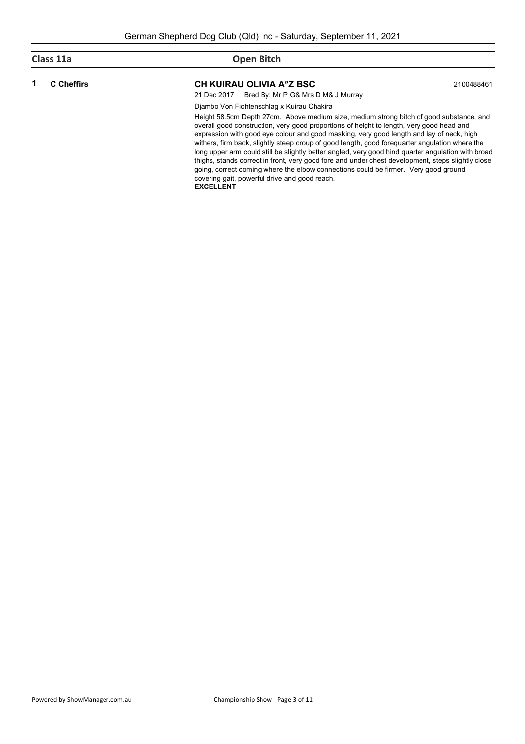| Class 11a         | <b>Open Bitch</b>                                                                                                                                                                                                                                                                                                                                                                                                                                                                                                                                                                                                                                                                                                                    |            |
|-------------------|--------------------------------------------------------------------------------------------------------------------------------------------------------------------------------------------------------------------------------------------------------------------------------------------------------------------------------------------------------------------------------------------------------------------------------------------------------------------------------------------------------------------------------------------------------------------------------------------------------------------------------------------------------------------------------------------------------------------------------------|------------|
| <b>C</b> Cheffirs | CH KUIRAU OLIVIA A"Z BSC<br>21 Dec 2017 Bred By: Mr P G& Mrs D M& J Murray                                                                                                                                                                                                                                                                                                                                                                                                                                                                                                                                                                                                                                                           | 2100488461 |
|                   | Diambo Von Fichtenschlag x Kuirau Chakira                                                                                                                                                                                                                                                                                                                                                                                                                                                                                                                                                                                                                                                                                            |            |
|                   | Height 58.5cm Depth 27cm. Above medium size, medium strong bitch of good substance, and<br>overall good construction, very good proportions of height to length, very good head and<br>expression with good eye colour and good masking, very good length and lay of neck, high<br>withers, firm back, slightly steep croup of good length, good foreguarter angulation where the<br>long upper arm could still be slightly better angled, very good hind quarter angulation with broad<br>thighs, stands correct in front, very good fore and under chest development, steps slightly close<br>going, correct coming where the elbow connections could be firmer. Very good ground<br>covering gait, powerful drive and good reach. |            |

**EXCELLENT**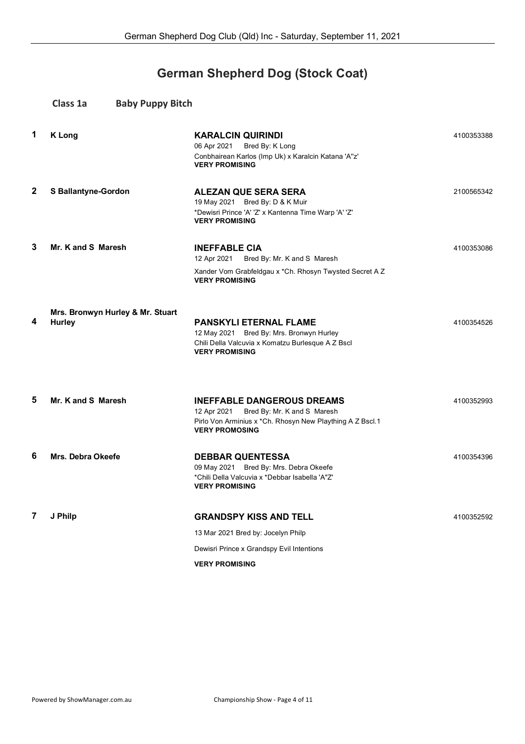## **German Shepherd Dog (Stock Coat)**

|              | Class 1a<br><b>Baby Puppy Bitch</b>               |                                                                                                                                                                       |            |
|--------------|---------------------------------------------------|-----------------------------------------------------------------------------------------------------------------------------------------------------------------------|------------|
| 1            | <b>K</b> Long                                     | <b>KARALCIN QUIRINDI</b><br>Bred By: K Long<br>06 Apr 2021<br>Conbhairean Karlos (Imp Uk) x Karalcin Katana 'A"z'<br><b>VERY PROMISING</b>                            | 4100353388 |
| $\mathbf{2}$ | <b>S Ballantyne-Gordon</b>                        | <b>ALEZAN QUE SERA SERA</b><br>19 May 2021 Bred By: D & K Muir<br>*Dewisri Prince 'A' 'Z' x Kantenna Time Warp 'A' 'Z'<br><b>VERY PROMISING</b>                       | 2100565342 |
| 3            | Mr. K and S Maresh                                | <b>INEFFABLE CIA</b><br>12 Apr 2021<br>Bred By: Mr. K and S Maresh<br>Xander Vom Grabfeldgau x * Ch. Rhosyn Twysted Secret A Z<br><b>VERY PROMISING</b>               | 4100353086 |
| 4            | Mrs. Bronwyn Hurley & Mr. Stuart<br><b>Hurley</b> | <b>PANSKYLI ETERNAL FLAME</b><br>12 May 2021 Bred By: Mrs. Bronwyn Hurley<br>Chili Della Valcuvia x Komatzu Burlesque A Z Bscl<br><b>VERY PROMISING</b>               | 4100354526 |
| 5            | Mr. K and S Maresh                                | <b>INEFFABLE DANGEROUS DREAMS</b><br>12 Apr 2021<br>Bred By: Mr. K and S Maresh<br>Pirlo Von Arminius x *Ch. Rhosyn New Plaything A Z Bscl.1<br><b>VERY PROMOSING</b> | 4100352993 |
| 6            | Mrs. Debra Okeefe                                 | <b>DEBBAR QUENTESSA</b><br>09 May 2021 Bred By: Mrs. Debra Okeefe<br>*Chili Della Valcuvia x *Debbar Isabella 'A"Z'<br><b>VERY PROMISING</b>                          | 4100354396 |
| 7            | J Philp                                           | <b>GRANDSPY KISS AND TELL</b><br>13 Mar 2021 Bred by: Jocelyn Philp<br>Dewisri Prince x Grandspy Evil Intentions<br><b>VERY PROMISING</b>                             | 4100352592 |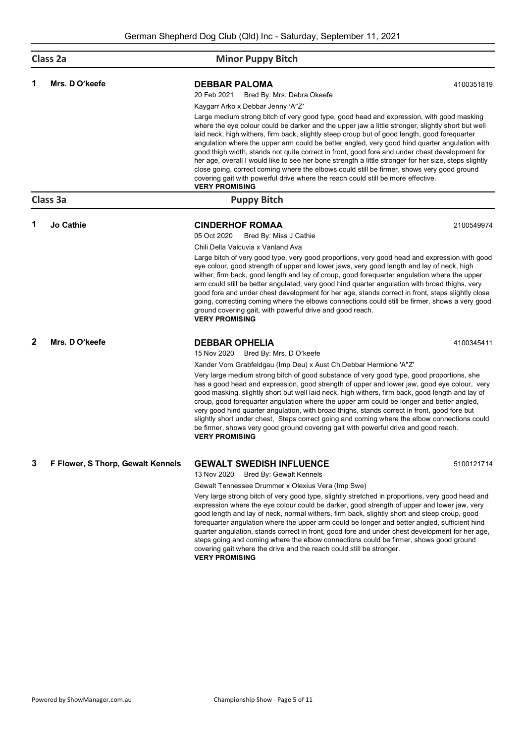| Class 2a              |                                   | <b>Minor Puppy Bitch</b>                                                                                                                                                                                                                                                                                                                                                                                                                                                                                                                                                                                                                                                                                                                                                                                              |            |
|-----------------------|-----------------------------------|-----------------------------------------------------------------------------------------------------------------------------------------------------------------------------------------------------------------------------------------------------------------------------------------------------------------------------------------------------------------------------------------------------------------------------------------------------------------------------------------------------------------------------------------------------------------------------------------------------------------------------------------------------------------------------------------------------------------------------------------------------------------------------------------------------------------------|------------|
| 1                     | Mrs. D O'keefe                    | <b>DEBBAR PALOMA</b><br>20 Feb 2021<br>Bred By: Mrs. Debra Okeefe                                                                                                                                                                                                                                                                                                                                                                                                                                                                                                                                                                                                                                                                                                                                                     | 4100351819 |
|                       |                                   | Kaygarr Arko x Debbar Jenny 'A"Z'                                                                                                                                                                                                                                                                                                                                                                                                                                                                                                                                                                                                                                                                                                                                                                                     |            |
|                       |                                   | Large medium strong bitch of very good type, good head and expression, with good masking<br>where the eye colour could be darker and the upper jaw a little stronger, slightly short but well<br>laid neck, high withers, firm back, slightly steep croup but of good length, good forequarter<br>angulation where the upper arm could be better angled, very good hind quarter angulation with<br>good thigh width, stands not quite correct in front, good fore and under chest development for<br>her age, overall I would like to see her bone strength a little stronger for her size, steps slightly<br>close going, correct coming where the elbows could still be firmer, shows very good ground<br>covering gait with powerful drive where the reach could still be more effective.<br><b>VERY PROMISING</b> |            |
|                       | Class 3a                          | <b>Puppy Bitch</b>                                                                                                                                                                                                                                                                                                                                                                                                                                                                                                                                                                                                                                                                                                                                                                                                    |            |
| 1                     | <b>Jo Cathie</b>                  | <b>CINDERHOF ROMAA</b><br>05 Oct 2020<br>Bred By: Miss J Cathie                                                                                                                                                                                                                                                                                                                                                                                                                                                                                                                                                                                                                                                                                                                                                       | 2100549974 |
|                       |                                   | Chili Della Valcuvia x Vanland Ava                                                                                                                                                                                                                                                                                                                                                                                                                                                                                                                                                                                                                                                                                                                                                                                    |            |
|                       |                                   | Large bitch of very good type, very good proportions, very good head and expression with good<br>eye colour, good strength of upper and lower jaws, very good length and lay of neck, high<br>wither, firm back, good length and lay of croup, good forequarter angulation where the upper<br>arm could still be better angulated, very good hind quarter angulation with broad thighs, very<br>good fore and under chest development for her age, stands correct in front, steps slightly close<br>going, correcting coming where the elbows connections could still be firmer, shows a very good<br>ground covering gait, with powerful drive and good reach.<br><b>VERY PROMISING</b>                                                                                                                              |            |
| 2                     | Mrs. D O'keefe                    | <b>DEBBAR OPHELIA</b><br>15 Nov 2020<br>Bred By: Mrs. D O'keefe                                                                                                                                                                                                                                                                                                                                                                                                                                                                                                                                                                                                                                                                                                                                                       | 4100345411 |
|                       |                                   | Xander Vom Grabfeldgau (Imp Deu) x Aust Ch. Debbar Hermione 'A"Z'                                                                                                                                                                                                                                                                                                                                                                                                                                                                                                                                                                                                                                                                                                                                                     |            |
| <b>VERY PROMISING</b> |                                   | Very large medium strong bitch of good substance of very good type, good proportions, she<br>has a good head and expression, good strength of upper and lower jaw, good eye colour, very<br>good masking, slightly short but well laid neck, high withers, firm back, good length and lay of<br>croup, good forequarter angulation where the upper arm could be longer and better angled,<br>very good hind quarter angulation, with broad thighs, stands correct in front, good fore but<br>slightly short under chest, Steps correct going and coming where the elbow connections could<br>be firmer, shows very good ground covering gait with powerful drive and good reach.                                                                                                                                      |            |
| 3                     | F Flower, S Thorp, Gewalt Kennels | <b>GEWALT SWEDISH INFLUENCE</b>                                                                                                                                                                                                                                                                                                                                                                                                                                                                                                                                                                                                                                                                                                                                                                                       | 5100121714 |
|                       |                                   | 13 Nov 2020<br>Bred By: Gewalt Kennels                                                                                                                                                                                                                                                                                                                                                                                                                                                                                                                                                                                                                                                                                                                                                                                |            |
|                       |                                   | Gewalt Tennessee Drummer x Olexius Vera (Imp Swe)<br>Very large strong bitch of very good type, slightly stretched in proportions, very good head and<br>expression where the eye colour could be darker, good strength of upper and lower jaw, very<br>good length and lay of neck, normal withers, firm back, slightly short and steep croup, good<br>forequarter angulation where the upper arm could be longer and better angled, sufficient hind<br>quarter angulation, stands correct in front, good fore and under chest development for her age,<br>steps going and coming where the elbow connections could be firmer, shows good ground<br>covering gait where the drive and the reach could still be stronger.<br><b>VERY PROMISING</b>                                                                    |            |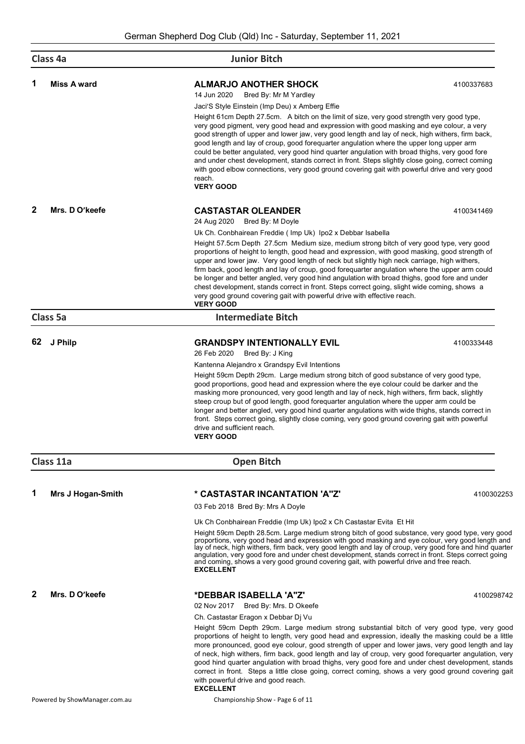| Class 4a |                          | <b>Junior Bitch</b>                                                                                                                                                                                                                                                                                                                                                                                                                                                                                                                                                                                                                                                                                                                                                                                                                                    |            |
|----------|--------------------------|--------------------------------------------------------------------------------------------------------------------------------------------------------------------------------------------------------------------------------------------------------------------------------------------------------------------------------------------------------------------------------------------------------------------------------------------------------------------------------------------------------------------------------------------------------------------------------------------------------------------------------------------------------------------------------------------------------------------------------------------------------------------------------------------------------------------------------------------------------|------------|
| 1        | <b>Miss A ward</b>       | <b>ALMARJO ANOTHER SHOCK</b><br>14 Jun 2020<br>Bred By: Mr M Yardley<br>Jaci'S Style Einstein (Imp Deu) x Amberg Effie<br>Height 61cm Depth 27.5cm. A bitch on the limit of size, very good strength very good type,<br>very good pigment, very good head and expression with good masking and eye colour, a very<br>good strength of upper and lower jaw, very good length and lay of neck, high withers, firm back,<br>good length and lay of croup, good foreguarter angulation where the upper long upper arm<br>could be better angulated, very good hind quarter angulation with broad thighs, very good fore<br>and under chest development, stands correct in front. Steps slightly close going, correct coming<br>with good elbow connections, very good ground covering gait with powerful drive and very good<br>reach.<br><b>VERY GOOD</b> | 4100337683 |
| 2        | Mrs. D O'keefe           | <b>CASTASTAR OLEANDER</b><br>24 Aug 2020<br>Bred By: M Doyle<br>Uk Ch. Conbhairean Freddie (Imp Uk) Ipo2 x Debbar Isabella<br>Height 57.5cm Depth 27.5cm Medium size, medium strong bitch of very good type, very good<br>proportions of height to length, good head and expression, with good masking, good strength of<br>upper and lower jaw. Very good length of neck but slightly high neck carriage, high withers,<br>firm back, good length and lay of croup, good forequarter angulation where the upper arm could<br>be longer and better angled, very good hind angulation with broad thighs, good fore and under<br>chest development, stands correct in front. Steps correct going, slight wide coming, shows a<br>very good ground covering gait with powerful drive with effective reach.<br><b>VERY GOOD</b>                            | 4100341469 |
|          | Class 5a                 | <b>Intermediate Bitch</b>                                                                                                                                                                                                                                                                                                                                                                                                                                                                                                                                                                                                                                                                                                                                                                                                                              |            |
| 62       | J Philp                  | <b>GRANDSPY INTENTIONALLY EVIL</b><br>26 Feb 2020<br>Bred By: J King<br>Kantenna Alejandro x Grandspy Evil Intentions<br>Height 59cm Depth 29cm. Large medium strong bitch of good substance of very good type,<br>good proportions, good head and expression where the eye colour could be darker and the<br>masking more pronounced, very good length and lay of neck, high withers, firm back, slightly<br>steep croup but of good length, good forequarter angulation where the upper arm could be<br>longer and better angled, very good hind quarter angulations with wide thighs, stands correct in<br>front. Steps correct going, slightly close coming, very good ground covering gait with powerful<br>drive and sufficient reach.<br><b>VERY GOOD</b>                                                                                       | 4100333448 |
|          | Class 11a                | <b>Open Bitch</b>                                                                                                                                                                                                                                                                                                                                                                                                                                                                                                                                                                                                                                                                                                                                                                                                                                      |            |
| 1        | <b>Mrs J Hogan-Smith</b> | * CASTASTAR INCANTATION 'A"Z"<br>03 Feb 2018 Bred By: Mrs A Doyle<br>Uk Ch Conbhairean Freddie (Imp Uk) Ipo2 x Ch Castastar Evita Et Hit<br>Height 59cm Depth 28.5cm. Large medium strong bitch of good substance, very good type, very good<br>proportions, very good head and expression with good masking and eye colour, very good length and<br>lay of neck, high withers, firm back, very good length and lay of croup, very good fore and hind quarter<br>angulation, very good fore and under chest development, stands correct in front. Steps correct going<br>and coming, shows a very good ground covering gait, with powerful drive and free reach.<br><b>EXCELLENT</b>                                                                                                                                                                   | 4100302253 |
| 2        | Mrs. D O'keefe           | *DEBBAR ISABELLA 'A"Z'<br>02 Nov 2017<br>Bred By: Mrs. D Okeefe<br>Ch. Castastar Eragon x Debbar Dj Vu<br>Height 59cm Depth 29cm. Large medium strong substantial bitch of very good type, very good<br>proportions of height to length, very good head and expression, ideally the masking could be a little<br>more pronounced, good eye colour, good strength of upper and lower jaws, very good length and lay<br>of neck, high withers, firm back, good length and lay of croup, very good forequarter angulation, very<br>good hind quarter angulation with broad thighs, very good fore and under chest development, stands<br>correct in front. Steps a little close going, correct coming, shows a very good ground covering gait<br>with powerful drive and good reach.<br><b>EXCELLENT</b>                                                  | 4100298742 |

Powered by ShowManager.com.au Championship Show - Page 6 of 11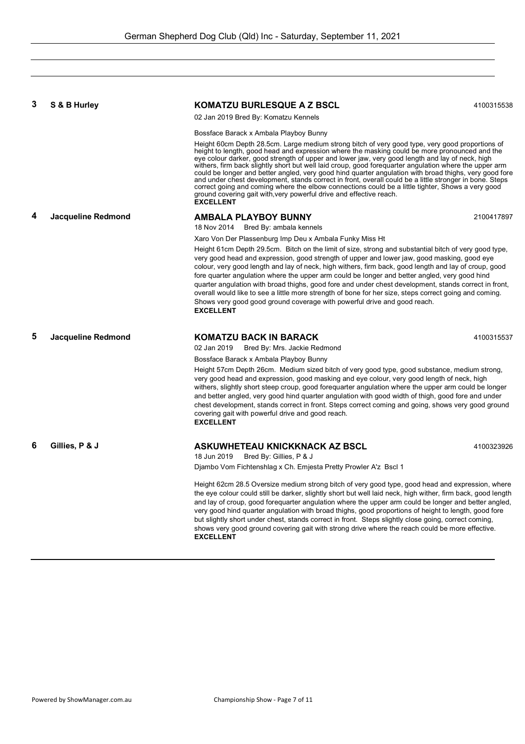| 3 | S & B Hurley       | <b>KOMATZU BURLESQUE A Z BSCL</b>                                                                                                                                                                                                                                                                                                                                                                                                                                                                                                                                                                                                                                                                                                                                                                                                  | 4100315538 |
|---|--------------------|------------------------------------------------------------------------------------------------------------------------------------------------------------------------------------------------------------------------------------------------------------------------------------------------------------------------------------------------------------------------------------------------------------------------------------------------------------------------------------------------------------------------------------------------------------------------------------------------------------------------------------------------------------------------------------------------------------------------------------------------------------------------------------------------------------------------------------|------------|
|   |                    | 02 Jan 2019 Bred By: Komatzu Kennels                                                                                                                                                                                                                                                                                                                                                                                                                                                                                                                                                                                                                                                                                                                                                                                               |            |
|   |                    | Bossface Barack x Ambala Playboy Bunny                                                                                                                                                                                                                                                                                                                                                                                                                                                                                                                                                                                                                                                                                                                                                                                             |            |
|   |                    | Height 60cm Depth 28.5cm. Large medium strong bitch of very good type, very good proportions of<br>height to length, good head and expression where the masking could be more pronounced and the<br>eye colour darker, good strength of upper and lower jaw, very good length and lay of neck, high<br>withers, firm back slightly short but well laid croup, good forequarter angulation where the upper arm<br>could be longer and better angled, very good hind quarter angulation with broad thighs, very good fore<br>and under chest development, stands correct in front, overall could be a little stronger in bone. Steps<br>correct going and coming where the elbow connections could be a little tighter, Shows a very good<br>ground covering gait with, very powerful drive and effective reach.<br><b>EXCELLENT</b> |            |
| 4 | Jacqueline Redmond | <b>AMBALA PLAYBOY BUNNY</b>                                                                                                                                                                                                                                                                                                                                                                                                                                                                                                                                                                                                                                                                                                                                                                                                        | 2100417897 |
|   |                    | 18 Nov 2014 Bred By: ambala kennels                                                                                                                                                                                                                                                                                                                                                                                                                                                                                                                                                                                                                                                                                                                                                                                                |            |
|   |                    | Xaro Von Der Plassenburg Imp Deu x Ambala Funky Miss Ht<br>Height 61cm Depth 29.5cm. Bitch on the limit of size, strong and substantial bitch of very good type,<br>very good head and expression, good strength of upper and lower jaw, good masking, good eye<br>colour, very good length and lay of neck, high withers, firm back, good length and lay of croup, good<br>fore quarter angulation where the upper arm could be longer and better angled, very good hind<br>quarter angulation with broad thighs, good fore and under chest development, stands correct in front,<br>overall would like to see a little more strength of bone for her size, steps correct going and coming.<br>Shows very good good ground coverage with powerful drive and good reach.<br><b>EXCELLENT</b>                                       |            |
| 5 | Jacqueline Redmond | <b>KOMATZU BACK IN BARACK</b><br>02 Jan 2019<br>Bred By: Mrs. Jackie Redmond                                                                                                                                                                                                                                                                                                                                                                                                                                                                                                                                                                                                                                                                                                                                                       | 4100315537 |
|   |                    | Bossface Barack x Ambala Playboy Bunny<br>Height 57cm Depth 26cm. Medium sized bitch of very good type, good substance, medium strong,<br>very good head and expression, good masking and eye colour, very good length of neck, high<br>withers, slightly short steep croup, good forequarter angulation where the upper arm could be longer<br>and better angled, very good hind quarter angulation with good width of thigh, good fore and under<br>chest development, stands correct in front. Steps correct coming and going, shows very good ground<br>covering gait with powerful drive and good reach.<br><b>EXCELLENT</b>                                                                                                                                                                                                  |            |
| 6 | Gillies, P & J     | ASKUWHETEAU KNICKKNACK AZ BSCL<br>18 Jun 2019<br>Bred By: Gillies, P & J                                                                                                                                                                                                                                                                                                                                                                                                                                                                                                                                                                                                                                                                                                                                                           | 4100323926 |
|   |                    | Djambo Vom Fichtenshlag x Ch. Emjesta Pretty Prowler A'z Bscl 1                                                                                                                                                                                                                                                                                                                                                                                                                                                                                                                                                                                                                                                                                                                                                                    |            |
|   |                    | Height 62cm 28.5 Oversize medium strong bitch of very good type, good head and expression, where<br>the eye colour could still be darker, slightly short but well laid neck, high wither, firm back, good length<br>and lay of croup, good forequarter angulation where the upper arm could be longer and better angled,<br>very good hind quarter angulation with broad thighs, good proportions of height to length, good fore<br>but slightly short under chest, stands correct in front. Steps slightly close going, correct coming,<br>shows very good ground covering gait with strong drive where the reach could be more effective.<br><b>EXCELLENT</b>                                                                                                                                                                    |            |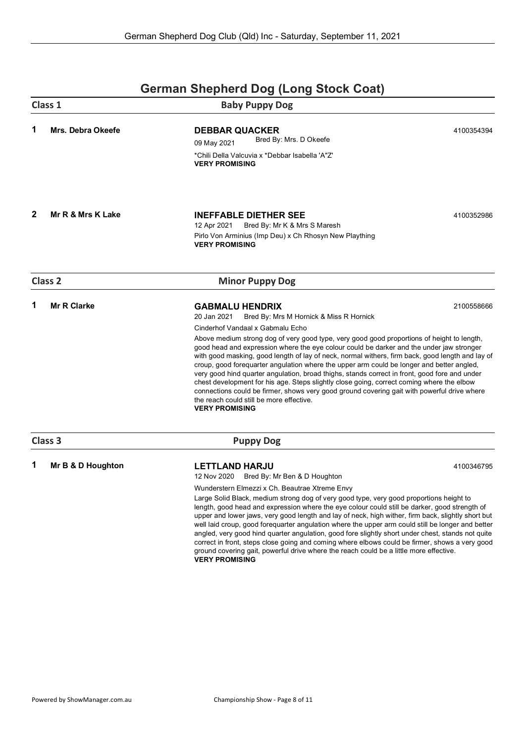|   | Class 1                  | <b>Baby Puppy Dog</b>                                                                                                                                                                                                                                                                                                                                                                                                                                                                                                                                                                                                                                                                                                                                                                                                                                                             |            |
|---|--------------------------|-----------------------------------------------------------------------------------------------------------------------------------------------------------------------------------------------------------------------------------------------------------------------------------------------------------------------------------------------------------------------------------------------------------------------------------------------------------------------------------------------------------------------------------------------------------------------------------------------------------------------------------------------------------------------------------------------------------------------------------------------------------------------------------------------------------------------------------------------------------------------------------|------------|
| 1 | <b>Mrs. Debra Okeefe</b> | <b>DEBBAR QUACKER</b><br>Bred By: Mrs. D Okeefe<br>09 May 2021<br>*Chili Della Valcuvia x *Debbar Isabella 'A"Z'<br><b>VERY PROMISING</b>                                                                                                                                                                                                                                                                                                                                                                                                                                                                                                                                                                                                                                                                                                                                         | 4100354394 |
| 2 | Mr R & Mrs K Lake        | <b>INEFFABLE DIETHER SEE</b><br>12 Apr 2021<br>Bred By: Mr K & Mrs S Maresh<br>Pirlo Von Arminius (Imp Deu) x Ch Rhosyn New Plaything<br><b>VERY PROMISING</b>                                                                                                                                                                                                                                                                                                                                                                                                                                                                                                                                                                                                                                                                                                                    | 4100352986 |
|   | <b>Class 2</b>           | <b>Minor Puppy Dog</b>                                                                                                                                                                                                                                                                                                                                                                                                                                                                                                                                                                                                                                                                                                                                                                                                                                                            |            |
| 1 | <b>Mr R Clarke</b>       | <b>GABMALU HENDRIX</b><br>20 Jan 2021<br>Bred By: Mrs M Hornick & Miss R Hornick<br>Cinderhof Vandaal x Gabmalu Echo<br>Above medium strong dog of very good type, very good good proportions of height to length,<br>good head and expression where the eye colour could be darker and the under jaw stronger<br>with good masking, good length of lay of neck, normal withers, firm back, good length and lay of<br>croup, good forequarter angulation where the upper arm could be longer and better angled,<br>very good hind quarter angulation, broad thighs, stands correct in front, good fore and under<br>chest development for his age. Steps slightly close going, correct coming where the elbow<br>connections could be firmer, shows very good ground covering gait with powerful drive where<br>the reach could still be more effective.<br><b>VERY PROMISING</b> | 2100558666 |
|   | Class 3                  | <b>Puppy Dog</b>                                                                                                                                                                                                                                                                                                                                                                                                                                                                                                                                                                                                                                                                                                                                                                                                                                                                  |            |
| 1 | Mr B & D Houghton        | <b>LETTLAND HARJU</b><br>Bred By: Mr Ben & D Houghton<br>12 Nov 2020<br>Wunderstern Elmezzi x Ch. Beautrae Xtreme Envy<br>Large Solid Black, medium strong dog of very good type, very good proportions height to<br>length, good head and expression where the eye colour could still be darker, good strength of<br>upper and lower jaws, very good length and lay of neck, high wither, firm back, slightly short but<br>well laid croup, good forequarter angulation where the upper arm could still be longer and better<br>angled, very good hind quarter angulation, good fore slightly short under chest, stands not quite<br>correct in front, steps close going and coming where elbows could be firmer, shows a very good<br>ground covering gait, powerful drive where the reach could be a little more effective.<br><b>VERY PROMISING</b>                           | 4100346795 |

### **German Shepherd Dog (Long Stock Coat)**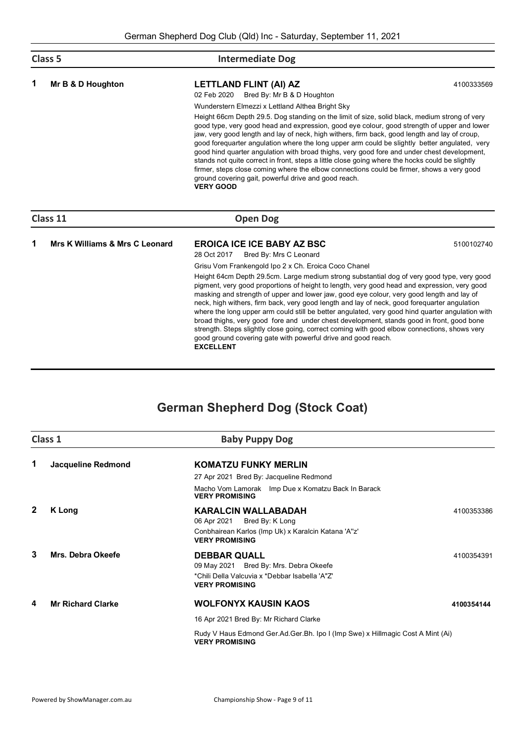| Class 5 |                                | <b>Intermediate Dog</b>                                                                                                                                                                                                                                                                                                                                                                                                                                                                                                                                                                                                                                                                                                                                                                                                               |            |
|---------|--------------------------------|---------------------------------------------------------------------------------------------------------------------------------------------------------------------------------------------------------------------------------------------------------------------------------------------------------------------------------------------------------------------------------------------------------------------------------------------------------------------------------------------------------------------------------------------------------------------------------------------------------------------------------------------------------------------------------------------------------------------------------------------------------------------------------------------------------------------------------------|------------|
| 1       | Mr B & D Houghton              | LETTLAND FLINT (AI) AZ<br>02 Feb 2020<br>Bred By: Mr B & D Houghton                                                                                                                                                                                                                                                                                                                                                                                                                                                                                                                                                                                                                                                                                                                                                                   | 4100333569 |
|         |                                | Wunderstern Elmezzi x Lettland Althea Bright Sky                                                                                                                                                                                                                                                                                                                                                                                                                                                                                                                                                                                                                                                                                                                                                                                      |            |
|         |                                | Height 66cm Depth 29.5. Dog standing on the limit of size, solid black, medium strong of very<br>good type, very good head and expression, good eye colour, good strength of upper and lower<br>jaw, very good length and lay of neck, high withers, firm back, good length and lay of croup,<br>good forequarter angulation where the long upper arm could be slightly better angulated, very<br>good hind quarter angulation with broad thighs, very good fore and under chest development,<br>stands not quite correct in front, steps a little close going where the hocks could be slightly<br>firmer, steps close coming where the elbow connections could be firmer, shows a very good<br>ground covering gait, powerful drive and good reach.<br><b>VERY GOOD</b>                                                             |            |
|         | Class 11                       | <b>Open Dog</b>                                                                                                                                                                                                                                                                                                                                                                                                                                                                                                                                                                                                                                                                                                                                                                                                                       |            |
| 1       | Mrs K Williams & Mrs C Leonard | <b>EROICA ICE ICE BABY AZ BSC</b><br>28 Oct 2017<br>Bred By: Mrs C Leonard                                                                                                                                                                                                                                                                                                                                                                                                                                                                                                                                                                                                                                                                                                                                                            | 5100102740 |
|         |                                | Grisu Vom Frankengold Ipo 2 x Ch. Eroica Coco Chanel<br>Height 64cm Depth 29.5cm. Large medium strong substantial dog of very good type, very good<br>pigment, very good proportions of height to length, very good head and expression, very good<br>masking and strength of upper and lower jaw, good eye colour, very good length and lay of<br>neck, high withers, firm back, very good length and lay of neck, good foreguarter angulation<br>where the long upper arm could still be better angulated, very good hind quarter angulation with<br>broad thighs, very good fore and under chest development, stands good in front, good bone<br>strength. Steps slightly close going, correct coming with good elbow connections, shows very<br>good ground covering gate with powerful drive and good reach.<br><b>EXCELLENT</b> |            |

# **German Shepherd Dog (Stock Coat)**

|                          | <b>Baby Puppy Dog</b>                                                                                                                        |                                                                                |
|--------------------------|----------------------------------------------------------------------------------------------------------------------------------------------|--------------------------------------------------------------------------------|
| Jacqueline Redmond       | <b>KOMATZU FUNKY MERLIN</b>                                                                                                                  |                                                                                |
|                          | 27 Apr 2021 Bred By: Jacqueline Redmond                                                                                                      |                                                                                |
|                          | Macho Vom Lamorak Imp Due x Komatzu Back In Barack<br><b>VERY PROMISING</b>                                                                  |                                                                                |
| K Long                   | <b>KARALCIN WALLABADAH</b><br>06 Apr 2021<br>Bred By: K Long<br>Conbhairean Karlos (Imp Uk) x Karalcin Katana 'A"z'<br><b>VERY PROMISING</b> | 4100353386                                                                     |
| Mrs. Debra Okeefe        | <b>DEBBAR QUALL</b><br>09 May 2021 Bred By: Mrs. Debra Okeefe<br>*Chili Della Valcuvia x *Debbar Isabella 'A"Z'<br><b>VERY PROMISING</b>     | 4100354391                                                                     |
| <b>Mr Richard Clarke</b> | <b>WOLFONYX KAUSIN KAOS</b>                                                                                                                  | 4100354144                                                                     |
|                          | 16 Apr 2021 Bred By: Mr Richard Clarke                                                                                                       |                                                                                |
|                          | <b>VERY PROMISING</b>                                                                                                                        |                                                                                |
|                          | Class 1                                                                                                                                      | Rudy V Haus Edmond Ger.Ad.Ger.Bh. Ipo I (Imp Swe) x Hillmagic Cost A Mint (Ai) |